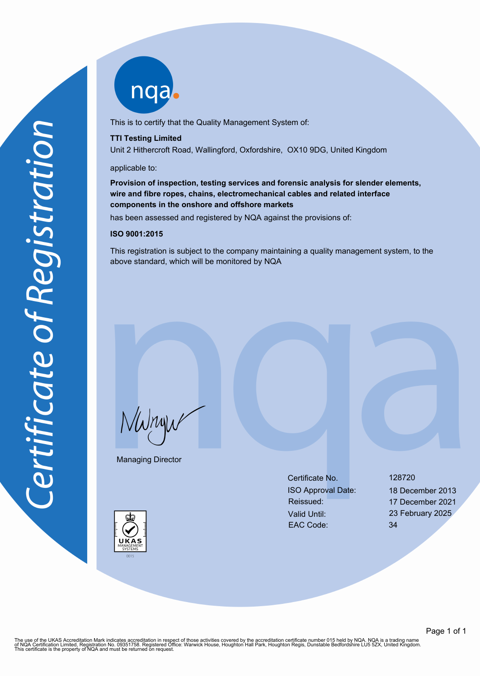nqab

This is to certify that the Quality Management System of:

### **TTI Testing Limited**

Unit 2 Hithercroft Road, Wallingford, Oxfordshire, OX10 9DG, United Kingdom

### applicable to:

# **Provision of inspection, testing services and forensic analysis for slender elements, wire and fibre ropes, chains, electromechanical cables and related interface components in the onshore and offshore markets**

has been assessed and registered by NQA against the provisions of:

## **ISO 9001:2015**

This registration is subject to the company maintaining a quality management system, to the above standard, which will be monitored by NQA

NWnyw

Managing Director

Certificate No. 128720 ISO Approval Date: 18 December 2013 Reissued: 17 December 2021 Valid Until: 23 February 2025 EAC Code: 34

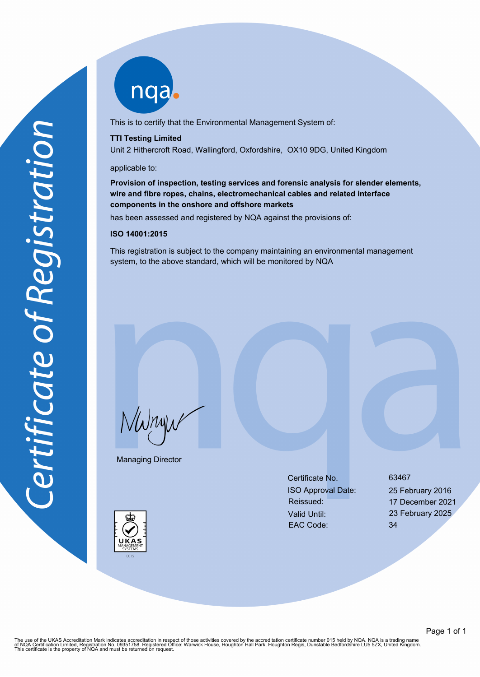

This is to certify that the Environmental Management System of:

### **TTI Testing Limited**

Unit 2 Hithercroft Road, Wallingford, Oxfordshire, OX10 9DG, United Kingdom

### applicable to:

# **Provision of inspection, testing services and forensic analysis for slender elements, wire and fibre ropes, chains, electromechanical cables and related interface components in the onshore and offshore markets**

has been assessed and registered by NQA against the provisions of:

## **ISO 14001:2015**

This registration is subject to the company maintaining an environmental management system, to the above standard, which will be monitored by NQA

NWnyw

Managing Director

Certificate No. 63467 ISO Approval Date: 25 February 2016 Reissued: 17 December 2021 Valid Until: 23 February 2025 EAC Code: 34



The use of the UKAS Accreditation Mark indicates accreditation in respect of those activities covered by the accreditation certificate number 015 held by NQA. NQA is a trading name<br>of NQA Certification Limited, Registratio